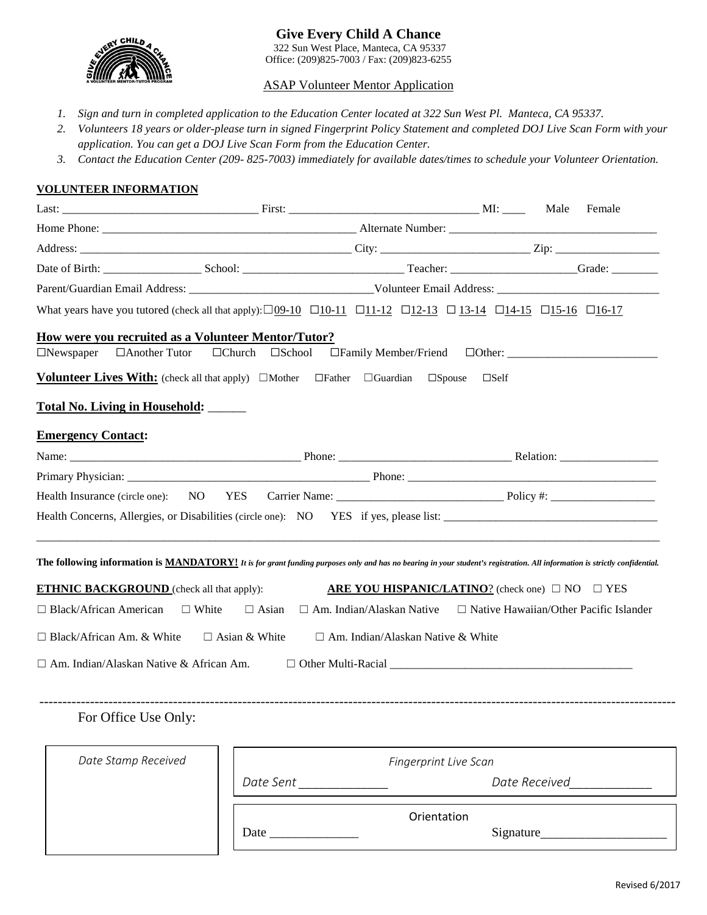

# ASAP Volunteer Mentor Application

- *1. Sign and turn in completed application to the Education Center located at 322 Sun West Pl. Manteca, CA 95337.*
- *2. Volunteers 18 years or older-please turn in signed Fingerprint Policy Statement and completed DOJ Live Scan Form with your application. You can get a DOJ Live Scan Form from the Education Center.*
- *3. Contact the Education Center (209- 825-7003) immediately for available dates/times to schedule your Volunteer Orientation.*

# **VOLUNTEER INFORMATION**

|                                                                                                                                                                                                                                       |                             |                                          | Male<br>Female                                                                 |  |  |  |  |  |  |
|---------------------------------------------------------------------------------------------------------------------------------------------------------------------------------------------------------------------------------------|-----------------------------|------------------------------------------|--------------------------------------------------------------------------------|--|--|--|--|--|--|
|                                                                                                                                                                                                                                       |                             |                                          |                                                                                |  |  |  |  |  |  |
|                                                                                                                                                                                                                                       |                             |                                          |                                                                                |  |  |  |  |  |  |
|                                                                                                                                                                                                                                       |                             |                                          |                                                                                |  |  |  |  |  |  |
|                                                                                                                                                                                                                                       |                             |                                          |                                                                                |  |  |  |  |  |  |
| What years have you tutored (check all that apply): $\Box 09-10$ $\Box 10-11$ $\Box 11-12$ $\Box 12-13$ $\Box 13-14$ $\Box 14-15$ $\Box 15-16$ $\Box 16-17$                                                                           |                             |                                          |                                                                                |  |  |  |  |  |  |
| How were you recruited as a Volunteer Mentor/Tutor?                                                                                                                                                                                   |                             |                                          |                                                                                |  |  |  |  |  |  |
| □Another Tutor<br>$\Box$ Newspaper                                                                                                                                                                                                    | $\Box$ Church $\Box$ School | $\Box$ Family Member/Friend              |                                                                                |  |  |  |  |  |  |
| <b>Volunteer Lives With:</b> (check all that apply) $\Box$ Mother $\Box$ Father $\Box$ Guardian                                                                                                                                       |                             | $\square$ Spouse                         | $\square$ Self                                                                 |  |  |  |  |  |  |
| <b>Total No. Living in Household:</b>                                                                                                                                                                                                 |                             |                                          |                                                                                |  |  |  |  |  |  |
|                                                                                                                                                                                                                                       |                             |                                          |                                                                                |  |  |  |  |  |  |
| <b>Emergency Contact:</b>                                                                                                                                                                                                             |                             |                                          |                                                                                |  |  |  |  |  |  |
|                                                                                                                                                                                                                                       |                             |                                          |                                                                                |  |  |  |  |  |  |
| Health Insurance (circle one):<br>NO <sub>1</sub>                                                                                                                                                                                     | <b>YES</b>                  |                                          |                                                                                |  |  |  |  |  |  |
|                                                                                                                                                                                                                                       |                             |                                          |                                                                                |  |  |  |  |  |  |
| The following information is <b>MANDATORY!</b> It is for grant funding purposes only and has no bearing in your student's registration. All information is strictly confidential.<br><b>ETHNIC BACKGROUND</b> (check all that apply): |                             |                                          | <b>ARE YOU HISPANIC/LATINO?</b> (check one) $\Box$ NO $\Box$ YES               |  |  |  |  |  |  |
| $\Box$ Black/African American $\Box$ White                                                                                                                                                                                            | $\Box$ Asian                |                                          | $\Box$ Am. Indian/Alaskan Native $\Box$ Native Hawaiian/Other Pacific Islander |  |  |  |  |  |  |
| $\Box$ Black/African Am. & White                                                                                                                                                                                                      | $\Box$ Asian & White        | $\Box$ Am. Indian/Alaskan Native & White |                                                                                |  |  |  |  |  |  |
|                                                                                                                                                                                                                                       |                             |                                          |                                                                                |  |  |  |  |  |  |
| $\Box$ Am. Indian/Alaskan Native & African Am.                                                                                                                                                                                        |                             |                                          |                                                                                |  |  |  |  |  |  |
|                                                                                                                                                                                                                                       |                             |                                          |                                                                                |  |  |  |  |  |  |
| For Office Use Only:                                                                                                                                                                                                                  |                             |                                          |                                                                                |  |  |  |  |  |  |
|                                                                                                                                                                                                                                       |                             |                                          |                                                                                |  |  |  |  |  |  |
| Date Stamp Received                                                                                                                                                                                                                   |                             | Fingerprint Live Scan                    |                                                                                |  |  |  |  |  |  |
|                                                                                                                                                                                                                                       | Date Sent _______________   |                                          | Date Received____________                                                      |  |  |  |  |  |  |
|                                                                                                                                                                                                                                       |                             |                                          |                                                                                |  |  |  |  |  |  |
|                                                                                                                                                                                                                                       |                             | Orientation                              | Signature                                                                      |  |  |  |  |  |  |
|                                                                                                                                                                                                                                       |                             |                                          |                                                                                |  |  |  |  |  |  |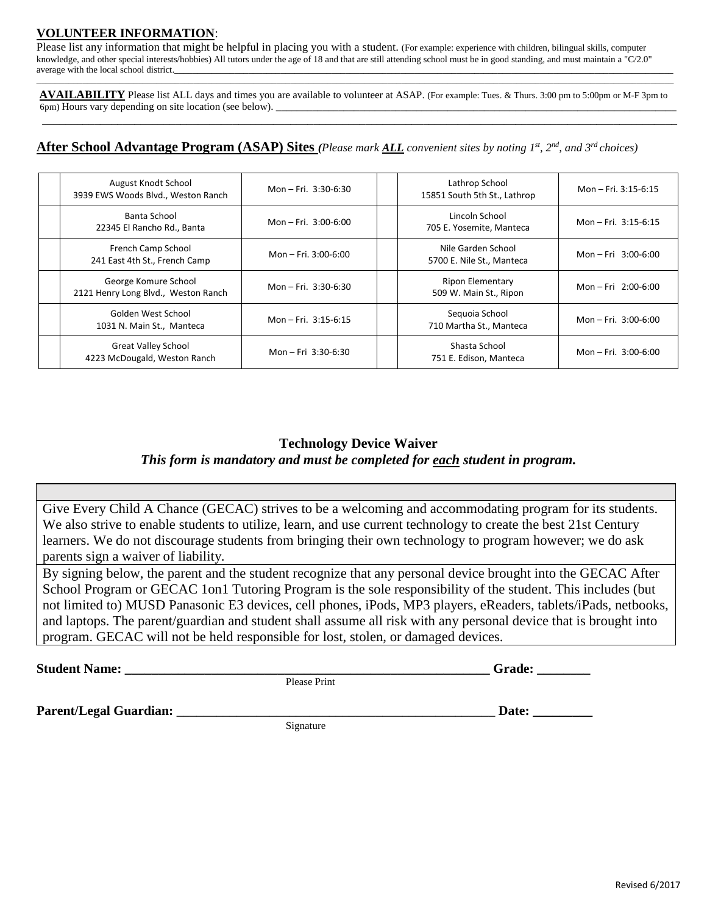# **VOLUNTEER INFORMATION**:

Please list any information that might be helpful in placing you with a student. (For example: experience with children, bilingual skills, computer knowledge, and other special interests/hobbies) All tutors under the age of 18 and that are still attending school must be in good standing, and must maintain a "C/2.0" average with the local school district.

\_\_\_\_\_\_\_\_\_\_\_\_\_\_\_\_\_\_\_\_\_\_\_\_\_\_\_\_\_\_\_\_\_\_\_\_\_\_\_\_\_\_\_\_\_\_\_\_\_\_\_\_\_\_\_\_\_\_\_\_\_\_\_\_\_\_\_\_\_\_\_\_\_\_\_\_\_\_\_\_\_\_\_\_\_\_\_\_\_\_\_\_\_\_\_\_\_\_\_\_\_\_\_\_\_\_\_\_\_\_\_\_\_\_\_\_\_\_\_\_\_\_\_\_\_\_\_\_\_\_\_\_\_\_\_\_\_\_ **AVAILABILITY** Please list ALL days and times you are available to volunteer at ASAP. (For example: Tues. & Thurs. 3:00 pm to 5:00pm or M-F 3pm to 6pm) Hours vary depending on site location (see below).

**\_\_\_\_\_\_\_\_\_\_\_\_\_\_\_\_\_\_\_\_\_\_\_\_\_\_\_\_\_\_\_\_\_\_\_\_\_\_\_\_\_\_\_\_\_\_\_\_\_\_\_\_\_\_\_\_\_\_\_\_\_\_\_\_\_\_\_\_\_\_\_\_\_\_\_\_\_\_\_\_\_\_\_\_\_\_\_\_\_\_\_\_\_\_\_\_\_\_\_\_\_\_\_\_\_\_\_\_\_\_**

# **After School Advantage Program (ASAP) Sites** *(Please mark ALL convenient sites by noting 1st, 2nd, and 3rd choices)*

| August Knodt School<br>3939 EWS Woods Blvd., Weston Ranch   | Mon - Fri. $3:30-6:30$ | Lathrop School<br>15851 South 5th St., Lathrop    | Mon - Fri. 3:15-6:15   |
|-------------------------------------------------------------|------------------------|---------------------------------------------------|------------------------|
| Banta School<br>22345 El Rancho Rd., Banta                  | Mon - Fri. $3:00-6:00$ | Lincoln School<br>705 E. Yosemite, Manteca        | Mon - Fri. $3:15-6:15$ |
| French Camp School<br>241 East 4th St., French Camp         | Mon - Fri. 3:00-6:00   | Nile Garden School<br>5700 E. Nile St., Manteca   | Mon - Fri $3:00-6:00$  |
| George Komure School<br>2121 Henry Long Blvd., Weston Ranch | Mon - Fri. $3:30-6:30$ | <b>Ripon Elementary</b><br>509 W. Main St., Ripon | Mon - Fri $2:00-6:00$  |
| Golden West School<br>1031 N. Main St., Manteca             | Mon - Fri. $3:15-6:15$ | Seguoia School<br>710 Martha St., Manteca         | Mon - Fri. $3:00-6:00$ |
| <b>Great Valley School</b><br>4223 McDougald, Weston Ranch  | Mon - Fri 3:30-6:30    | Shasta School<br>751 E. Edison, Manteca           | Mon - Fri. 3:00-6:00   |

# **Technology Device Waiver** *This form is mandatory and must be completed for each student in program.*

Give Every Child A Chance (GECAC) strives to be a welcoming and accommodating program for its students. We also strive to enable students to utilize, learn, and use current technology to create the best 21st Century learners. We do not discourage students from bringing their own technology to program however; we do ask parents sign a waiver of liability.

By signing below, the parent and the student recognize that any personal device brought into the GECAC After School Program or GECAC 1on1 Tutoring Program is the sole responsibility of the student. This includes (but not limited to) MUSD Panasonic E3 devices, cell phones, iPods, MP3 players, eReaders, tablets/iPads, netbooks, and laptops. The parent/guardian and student shall assume all risk with any personal device that is brought into program. GECAC will not be held responsible for lost, stolen, or damaged devices.

**Student Name:**  $\bullet$  **Student Name:**  $\bullet$  **Grade:**  $\bullet$  **Grade:**  $\bullet$  **Grade:**  $\bullet$  **Grade:**  $\bullet$  **Grade:**  $\bullet$  **Grade:**  $\bullet$  **Grade:**  $\bullet$  **Grade:**  $\bullet$  **Grade:**  $\bullet$  **Grade:**  $\bullet$  **Grade:**  $\bullet$  **Grade:**  $\bullet$  **Grade:**  $\bullet$ 

Please Print

**Parent/Legal Guardian:** \_\_\_\_\_\_\_\_\_\_\_\_\_\_\_\_\_\_\_\_\_\_\_\_\_\_\_\_\_\_\_\_\_\_\_\_\_\_\_\_\_\_\_\_\_\_\_\_ **Date: \_\_\_\_\_\_\_\_\_** 

Signature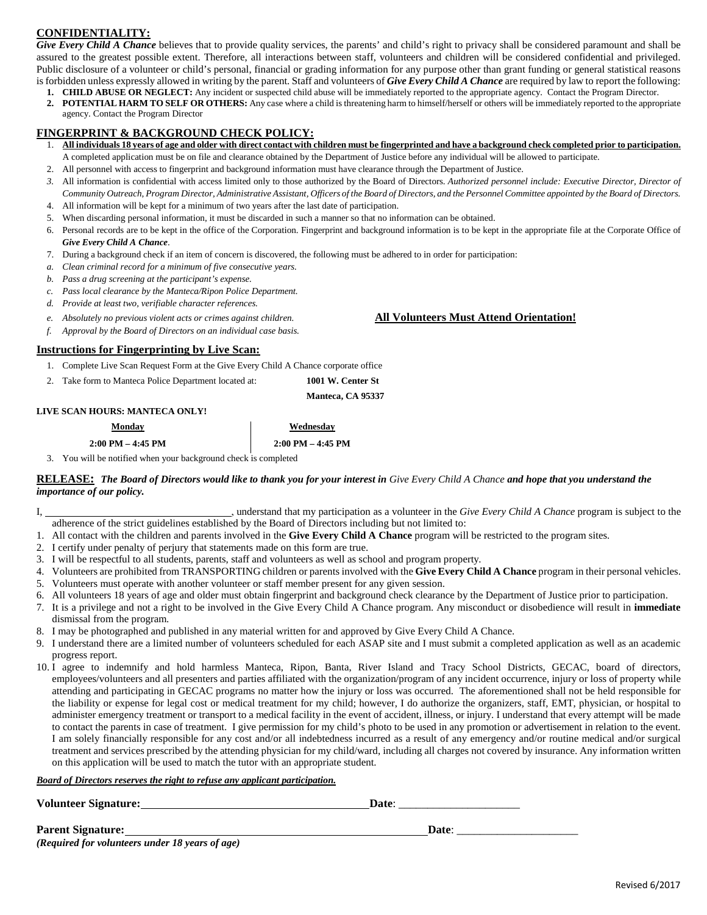# **CONFIDENTIALITY:**

Give Every Child A Chance believes that to provide quality services, the parents' and child's right to privacy shall be considered paramount and shall be assured to the greatest possible extent. Therefore, all interactions between staff, volunteers and children will be considered confidential and privileged. Public disclosure of a volunteer or child's personal, financial or grading information for any purpose other than grant funding or general statistical reasons is forbidden unless expressly allowed in writing by the parent. Staff and volunteers of *Give Every Child A Chance* are required by law to report the following:

- **1. CHILD ABUSE OR NEGLECT:** Any incident or suspected child abuse will be immediately reported to the appropriate agency. Contact the Program Director.
- **2. POTENTIAL HARM TO SELF OR OTHERS:** Any case where a child is threatening harm to himself/herself or others will be immediately reported to the appropriate agency. Contact the Program Director

## **FINGERPRINT & BACKGROUND CHECK POLICY:**

- 1. **All individuals 18 years of age and older with direct contact with children must be fingerprinted and have a background check completed prior to participation.** A completed application must be on file and clearance obtained by the Department of Justice before any individual will be allowed to participate.
- 2. All personnel with access to fingerprint and background information must have clearance through the Department of Justice.
- *3.* All information is confidential with access limited only to those authorized by the Board of Directors. *Authorized personnel include: Executive Director, Director of Community Outreach, Program Director, Administrative Assistant, Officers of the Board of Directors, and the Personnel Committee appointed by the Board of Directors.*
- 4. All information will be kept for a minimum of two years after the last date of participation.
- 5. When discarding personal information, it must be discarded in such a manner so that no information can be obtained.
- 6. Personal records are to be kept in the office of the Corporation. Fingerprint and background information is to be kept in the appropriate file at the Corporate Office of *Give Every Child A Chance*.
- 7. During a background check if an item of concern is discovered, the following must be adhered to in order for participation:
- *a. Clean criminal record for a minimum of five consecutive years.*
- *b. Pass a drug screening at the participant's expense.*
- *c. Pass local clearance by the Manteca/Ripon Police Department.*
- *d. Provide at least two, verifiable character references.*
- *e. Absolutely no previous violent acts or crimes against children.* **All Volunteers Must Attend Orientation!**
- *f. Approval by the Board of Directors on an individual case basis.*

## **Instructions for Fingerprinting by Live Scan:**

- 1. Complete Live Scan Request Form at the Give Every Child A Chance corporate office
- 2. Take form to Manteca Police Department located at: **1001 W. Center St**

**Manteca, CA 95337** 

#### **LIVE SCAN HOURS: MANTECA ONLY!**

## **Monday Wednesday 2:00 PM – 4:45 PM 2:00 PM – 4:45 PM**

3. You will be notified when your background check is completed

**RELEASE:** *The Board of Directors would like to thank you for your interest in Give Every Child A Chance and hope that you understand the importance of our policy.*

- I, **I**, **understand that my participation as a volunteer in the** *Give Every Child A Chance* **program is subject to the** adherence of the strict guidelines established by the Board of Directors including but not limited to:
- 1. All contact with the children and parents involved in the **Give Every Child A Chance** program will be restricted to the program sites.
- 2. I certify under penalty of perjury that statements made on this form are true.
- 3. I will be respectful to all students, parents, staff and volunteers as well as school and program property.
- 4. Volunteers are prohibited from TRANSPORTING children or parents involved with the **Give Every Child A Chance** program in their personal vehicles. 5. Volunteers must operate with another volunteer or staff member present for any given session.
- 6. All volunteers 18 years of age and older must obtain fingerprint and background check clearance by the Department of Justice prior to participation.
- 7. It is a privilege and not a right to be involved in the Give Every Child A Chance program. Any misconduct or disobedience will result in **immediate** dismissal from the program.
- 8. I may be photographed and published in any material written for and approved by Give Every Child A Chance.
- 9. I understand there are a limited number of volunteers scheduled for each ASAP site and I must submit a completed application as well as an academic progress report.
- 10. I agree to indemnify and hold harmless Manteca, Ripon, Banta, River Island and Tracy School Districts, GECAC, board of directors, employees/volunteers and all presenters and parties affiliated with the organization/program of any incident occurrence, injury or loss of property while attending and participating in GECAC programs no matter how the injury or loss was occurred. The aforementioned shall not be held responsible for the liability or expense for legal cost or medical treatment for my child; however, I do authorize the organizers, staff, EMT, physician, or hospital to administer emergency treatment or transport to a medical facility in the event of accident, illness, or injury. I understand that every attempt will be made to contact the parents in case of treatment. I give permission for my child's photo to be used in any promotion or advertisement in relation to the event. I am solely financially responsible for any cost and/or all indebtedness incurred as a result of any emergency and/or routine medical and/or surgical treatment and services prescribed by the attending physician for my child/ward, including all charges not covered by insurance. Any information written on this application will be used to match the tutor with an appropriate student.

#### *Board of Directors reserves the right to refuse any applicant participation.*

| <b>Volunteer Signature:</b> | Date |
|-----------------------------|------|
|                             |      |

**Parent Signature:**  $\qquad \qquad$  **Date**: *(Required for volunteers under 18 years of age)*